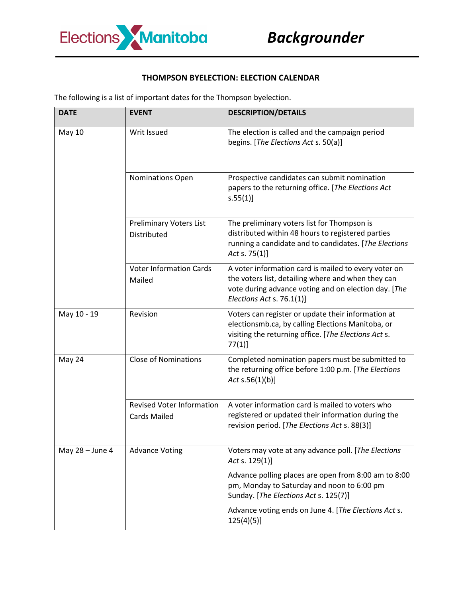

## **THOMPSON BYELECTION: ELECTION CALENDAR**

The following is a list of important dates for the Thompson byelection.

| <b>DATE</b>     | <b>EVENT</b>                                            | <b>DESCRIPTION/DETAILS</b>                                                                                                                                                                      |
|-----------------|---------------------------------------------------------|-------------------------------------------------------------------------------------------------------------------------------------------------------------------------------------------------|
| May 10          | Writ Issued                                             | The election is called and the campaign period<br>begins. [The Elections Act s. 50(a)]                                                                                                          |
|                 | Nominations Open                                        | Prospective candidates can submit nomination<br>papers to the returning office. [The Elections Act<br>s.55(1)]                                                                                  |
|                 | <b>Preliminary Voters List</b><br>Distributed           | The preliminary voters list for Thompson is<br>distributed within 48 hours to registered parties<br>running a candidate and to candidates. [The Elections<br>Act s. $75(1)$ ]                   |
|                 | <b>Voter Information Cards</b><br>Mailed                | A voter information card is mailed to every voter on<br>the voters list, detailing where and when they can<br>vote during advance voting and on election day. [The<br>Elections Act s. 76.1(1)] |
| May 10 - 19     | Revision                                                | Voters can register or update their information at<br>electionsmb.ca, by calling Elections Manitoba, or<br>visiting the returning office. [The Elections Act s.<br>$77(1)$ ]                    |
| May 24          | <b>Close of Nominations</b>                             | Completed nomination papers must be submitted to<br>the returning office before 1:00 p.m. [The Elections<br>Act $s.56(1)(b)$ ]                                                                  |
|                 | <b>Revised Voter Information</b><br><b>Cards Mailed</b> | A voter information card is mailed to voters who<br>registered or updated their information during the<br>revision period. [The Elections Act s. 88(3)]                                         |
| May 28 - June 4 | <b>Advance Voting</b>                                   | Voters may vote at any advance poll. [The Elections<br>Act s. 129(1)]                                                                                                                           |
|                 |                                                         | Advance polling places are open from 8:00 am to 8:00<br>pm, Monday to Saturday and noon to 6:00 pm<br>Sunday. [The Elections Act s. 125(7)]                                                     |
|                 |                                                         | Advance voting ends on June 4. [The Elections Act s.<br>$125(4)(5)$ ]                                                                                                                           |